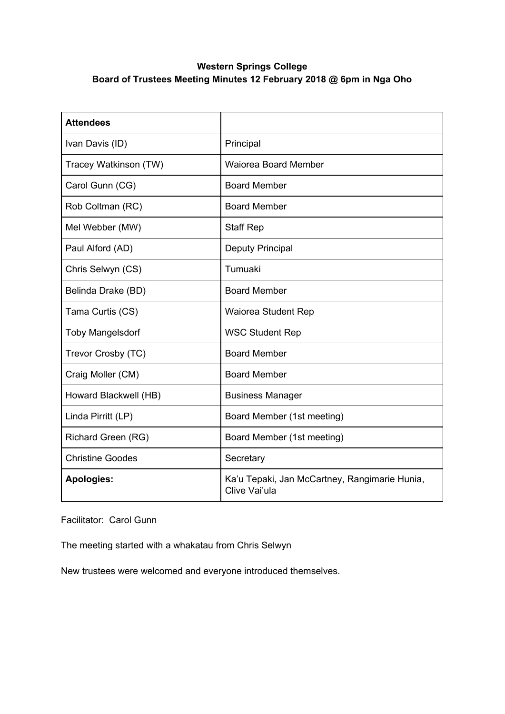## **Western Springs College Board of Trustees Meeting Minutes 12 February 2018 @ 6pm in Nga Oho**

| <b>Attendees</b>        |                                                                |
|-------------------------|----------------------------------------------------------------|
| Ivan Davis (ID)         | Principal                                                      |
| Tracey Watkinson (TW)   | <b>Waiorea Board Member</b>                                    |
| Carol Gunn (CG)         | <b>Board Member</b>                                            |
| Rob Coltman (RC)        | <b>Board Member</b>                                            |
| Mel Webber (MW)         | <b>Staff Rep</b>                                               |
| Paul Alford (AD)        | <b>Deputy Principal</b>                                        |
| Chris Selwyn (CS)       | Tumuaki                                                        |
| Belinda Drake (BD)      | <b>Board Member</b>                                            |
| Tama Curtis (CS)        | Waiorea Student Rep                                            |
| <b>Toby Mangelsdorf</b> | <b>WSC Student Rep</b>                                         |
| Trevor Crosby (TC)      | <b>Board Member</b>                                            |
| Craig Moller (CM)       | <b>Board Member</b>                                            |
| Howard Blackwell (HB)   | <b>Business Manager</b>                                        |
| Linda Pirritt (LP)      | Board Member (1st meeting)                                     |
| Richard Green (RG)      | Board Member (1st meeting)                                     |
| <b>Christine Goodes</b> | Secretary                                                      |
| <b>Apologies:</b>       | Ka'u Tepaki, Jan McCartney, Rangimarie Hunia,<br>Clive Vai'ula |

Facilitator: Carol Gunn

The meeting started with a whakatau from Chris Selwyn

New trustees were welcomed and everyone introduced themselves.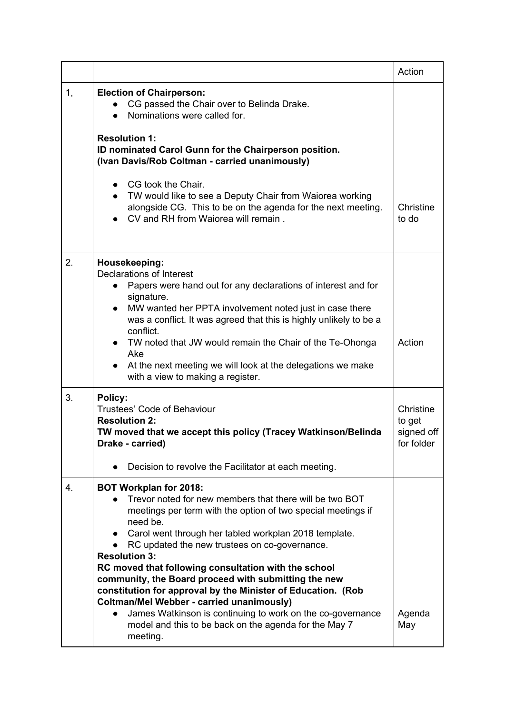|    |                                                                                                                                                                                                                                                                                                                                                                                                                                                                                                     | Action                                          |
|----|-----------------------------------------------------------------------------------------------------------------------------------------------------------------------------------------------------------------------------------------------------------------------------------------------------------------------------------------------------------------------------------------------------------------------------------------------------------------------------------------------------|-------------------------------------------------|
| 1, | <b>Election of Chairperson:</b><br>CG passed the Chair over to Belinda Drake.<br>Nominations were called for.<br>$\bullet$<br><b>Resolution 1:</b><br>ID nominated Carol Gunn for the Chairperson position.                                                                                                                                                                                                                                                                                         |                                                 |
|    | (Ivan Davis/Rob Coltman - carried unanimously)                                                                                                                                                                                                                                                                                                                                                                                                                                                      |                                                 |
|    | CG took the Chair.<br>$\bullet$<br>TW would like to see a Deputy Chair from Waiorea working<br>$\bullet$<br>alongside CG. This to be on the agenda for the next meeting.<br>CV and RH from Waiorea will remain.                                                                                                                                                                                                                                                                                     | Christine<br>to do                              |
| 2. | Housekeeping:<br>Declarations of Interest<br>Papers were hand out for any declarations of interest and for<br>$\bullet$<br>signature.<br>MW wanted her PPTA involvement noted just in case there<br>$\bullet$<br>was a conflict. It was agreed that this is highly unlikely to be a<br>conflict.<br>TW noted that JW would remain the Chair of the Te-Ohonga                                                                                                                                        | Action                                          |
|    | Ake<br>At the next meeting we will look at the delegations we make<br>with a view to making a register.                                                                                                                                                                                                                                                                                                                                                                                             |                                                 |
| 3. | Policy:<br><b>Trustees' Code of Behaviour</b><br><b>Resolution 2:</b><br>TW moved that we accept this policy (Tracey Watkinson/Belinda<br>Drake - carried)                                                                                                                                                                                                                                                                                                                                          | Christine<br>to get<br>signed off<br>for folder |
|    | Decision to revolve the Facilitator at each meeting.                                                                                                                                                                                                                                                                                                                                                                                                                                                |                                                 |
| 4. | <b>BOT Workplan for 2018:</b><br>Trevor noted for new members that there will be two BOT<br>meetings per term with the option of two special meetings if<br>need be.<br>Carol went through her tabled workplan 2018 template.<br>$\bullet$<br>RC updated the new trustees on co-governance.<br><b>Resolution 3:</b><br>RC moved that following consultation with the school<br>community, the Board proceed with submitting the new<br>constitution for approval by the Minister of Education. (Rob |                                                 |
|    | <b>Coltman/Mel Webber - carried unanimously)</b><br>James Watkinson is continuing to work on the co-governance<br>$\bullet$<br>model and this to be back on the agenda for the May 7<br>meeting.                                                                                                                                                                                                                                                                                                    | Agenda<br>May                                   |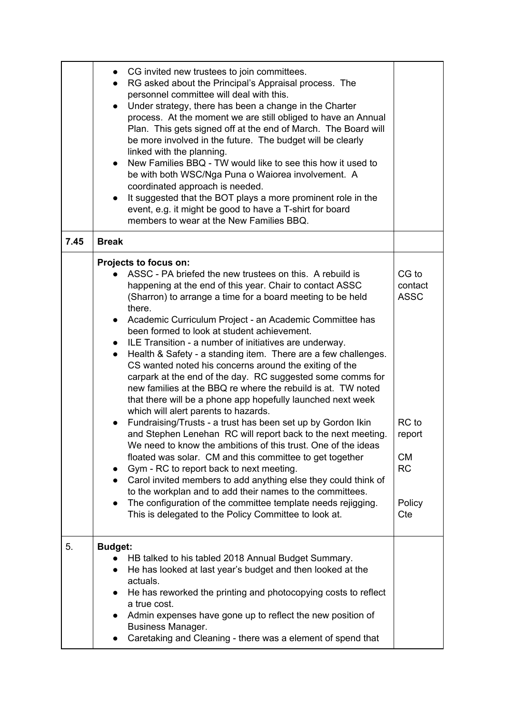|      | CG invited new trustees to join committees.<br>RG asked about the Principal's Appraisal process. The<br>$\bullet$<br>personnel committee will deal with this.<br>Under strategy, there has been a change in the Charter<br>$\bullet$<br>process. At the moment we are still obliged to have an Annual<br>Plan. This gets signed off at the end of March. The Board will<br>be more involved in the future. The budget will be clearly<br>linked with the planning.<br>New Families BBQ - TW would like to see this how it used to<br>be with both WSC/Nga Puna o Waiorea involvement. A<br>coordinated approach is needed.<br>It suggested that the BOT plays a more prominent role in the<br>$\bullet$<br>event, e.g. it might be good to have a T-shirt for board<br>members to wear at the New Families BBQ.                                                                                                                                                                                                                                                                                                                                                                                                                                                                                                                                                                                          |                                                                                               |
|------|----------------------------------------------------------------------------------------------------------------------------------------------------------------------------------------------------------------------------------------------------------------------------------------------------------------------------------------------------------------------------------------------------------------------------------------------------------------------------------------------------------------------------------------------------------------------------------------------------------------------------------------------------------------------------------------------------------------------------------------------------------------------------------------------------------------------------------------------------------------------------------------------------------------------------------------------------------------------------------------------------------------------------------------------------------------------------------------------------------------------------------------------------------------------------------------------------------------------------------------------------------------------------------------------------------------------------------------------------------------------------------------------------------|-----------------------------------------------------------------------------------------------|
| 7.45 | <b>Break</b>                                                                                                                                                                                                                                                                                                                                                                                                                                                                                                                                                                                                                                                                                                                                                                                                                                                                                                                                                                                                                                                                                                                                                                                                                                                                                                                                                                                             |                                                                                               |
|      | Projects to focus on:<br>ASSC - PA briefed the new trustees on this. A rebuild is<br>happening at the end of this year. Chair to contact ASSC<br>(Sharron) to arrange a time for a board meeting to be held<br>there.<br>Academic Curriculum Project - an Academic Committee has<br>$\bullet$<br>been formed to look at student achievement.<br>ILE Transition - a number of initiatives are underway.<br>Health & Safety - a standing item. There are a few challenges.<br>$\bullet$<br>CS wanted noted his concerns around the exiting of the<br>carpark at the end of the day. RC suggested some comms for<br>new families at the BBQ re where the rebuild is at. TW noted<br>that there will be a phone app hopefully launched next week<br>which will alert parents to hazards.<br>Fundraising/Trusts - a trust has been set up by Gordon Ikin<br>$\bullet$<br>and Stephen Lenehan RC will report back to the next meeting.<br>We need to know the ambitions of this trust. One of the ideas<br>floated was solar. CM and this committee to get together<br>Gym - RC to report back to next meeting.<br>$\bullet$<br>Carol invited members to add anything else they could think of<br>$\bullet$<br>to the workplan and to add their names to the committees.<br>The configuration of the committee template needs rejigging.<br>$\bullet$<br>This is delegated to the Policy Committee to look at. | CG to<br>contact<br><b>ASSC</b><br>RC to<br>report<br><b>CM</b><br><b>RC</b><br>Policy<br>Cte |
| 5.   | <b>Budget:</b><br>HB talked to his tabled 2018 Annual Budget Summary.<br>He has looked at last year's budget and then looked at the<br>actuals.<br>He has reworked the printing and photocopying costs to reflect<br>a true cost.<br>Admin expenses have gone up to reflect the new position of<br>$\bullet$<br><b>Business Manager.</b><br>Caretaking and Cleaning - there was a element of spend that                                                                                                                                                                                                                                                                                                                                                                                                                                                                                                                                                                                                                                                                                                                                                                                                                                                                                                                                                                                                  |                                                                                               |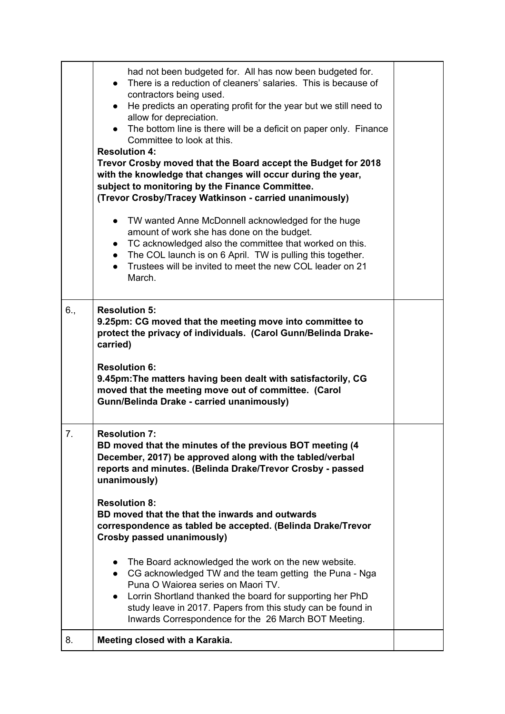|     | had not been budgeted for. All has now been budgeted for.<br>There is a reduction of cleaners' salaries. This is because of<br>$\bullet$                                                                                                                                                                                                                                       |  |
|-----|--------------------------------------------------------------------------------------------------------------------------------------------------------------------------------------------------------------------------------------------------------------------------------------------------------------------------------------------------------------------------------|--|
|     | contractors being used.<br>He predicts an operating profit for the year but we still need to<br>$\bullet$<br>allow for depreciation.<br>The bottom line is there will be a deficit on paper only. Finance<br>$\bullet$                                                                                                                                                         |  |
|     | Committee to look at this.<br><b>Resolution 4:</b>                                                                                                                                                                                                                                                                                                                             |  |
|     | Trevor Crosby moved that the Board accept the Budget for 2018<br>with the knowledge that changes will occur during the year,<br>subject to monitoring by the Finance Committee.<br>(Trevor Crosby/Tracey Watkinson - carried unanimously)                                                                                                                                      |  |
|     | TW wanted Anne McDonnell acknowledged for the huge<br>$\bullet$<br>amount of work she has done on the budget.<br>• TC acknowledged also the committee that worked on this.<br>The COL launch is on 6 April. TW is pulling this together.<br>$\bullet$<br>Trustees will be invited to meet the new COL leader on 21<br>$\bullet$<br>March.                                      |  |
| 6., | <b>Resolution 5:</b><br>9.25pm: CG moved that the meeting move into committee to<br>protect the privacy of individuals. (Carol Gunn/Belinda Drake-<br>carried)                                                                                                                                                                                                                 |  |
|     | <b>Resolution 6:</b><br>9.45pm: The matters having been dealt with satisfactorily, CG<br>moved that the meeting move out of committee. (Carol<br><b>Gunn/Belinda Drake - carried unanimously)</b>                                                                                                                                                                              |  |
| 7.  | <b>Resolution 7:</b><br>BD moved that the minutes of the previous BOT meeting (4<br>December, 2017) be approved along with the tabled/verbal<br>reports and minutes. (Belinda Drake/Trevor Crosby - passed<br>unanimously)                                                                                                                                                     |  |
|     | <b>Resolution 8:</b><br>BD moved that the that the inwards and outwards<br>correspondence as tabled be accepted. (Belinda Drake/Trevor<br>Crosby passed unanimously)                                                                                                                                                                                                           |  |
|     | The Board acknowledged the work on the new website.<br>$\bullet$<br>CG acknowledged TW and the team getting the Puna - Nga<br>$\bullet$<br>Puna O Waiorea series on Maori TV.<br>Lorrin Shortland thanked the board for supporting her PhD<br>$\bullet$<br>study leave in 2017. Papers from this study can be found in<br>Inwards Correspondence for the 26 March BOT Meeting. |  |
| 8.  | Meeting closed with a Karakia.                                                                                                                                                                                                                                                                                                                                                 |  |